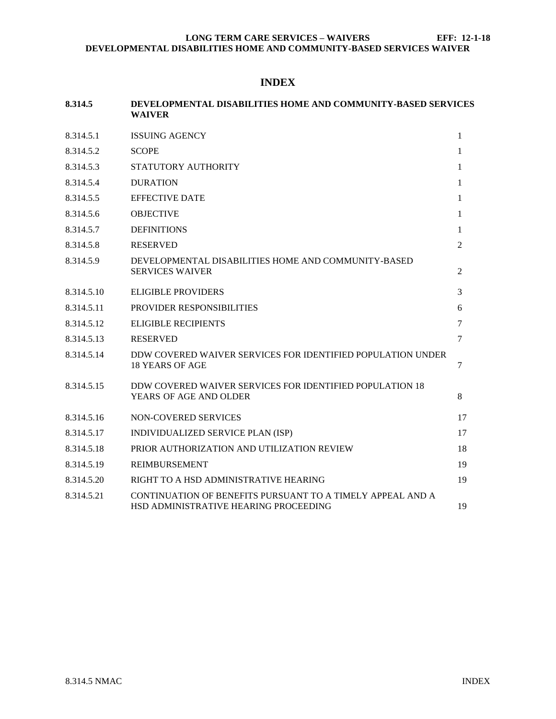# **INDEX**

| 8.314.5    | DEVELOPMENTAL DISABILITIES HOME AND COMMUNITY-BASED SERVICES<br><b>WAIVER</b>                       |                |  |
|------------|-----------------------------------------------------------------------------------------------------|----------------|--|
| 8.314.5.1  | <b>ISSUING AGENCY</b>                                                                               | $\mathbf{1}$   |  |
| 8.314.5.2  | <b>SCOPE</b>                                                                                        | 1              |  |
| 8.314.5.3  | STATUTORY AUTHORITY                                                                                 | 1              |  |
| 8.314.5.4  | <b>DURATION</b>                                                                                     | 1              |  |
| 8.314.5.5  | <b>EFFECTIVE DATE</b>                                                                               |                |  |
| 8.314.5.6  | <b>OBJECTIVE</b>                                                                                    | 1              |  |
| 8.314.5.7  | <b>DEFINITIONS</b>                                                                                  | 1              |  |
| 8.314.5.8  | <b>RESERVED</b>                                                                                     | $\overline{c}$ |  |
| 8.314.5.9  | DEVELOPMENTAL DISABILITIES HOME AND COMMUNITY-BASED<br><b>SERVICES WAIVER</b>                       | $\overline{c}$ |  |
| 8.314.5.10 | <b>ELIGIBLE PROVIDERS</b>                                                                           | 3              |  |
| 8.314.5.11 | PROVIDER RESPONSIBILITIES                                                                           | 6              |  |
| 8.314.5.12 | <b>ELIGIBLE RECIPIENTS</b>                                                                          | $\tau$         |  |
| 8.314.5.13 | <b>RESERVED</b>                                                                                     | $\tau$         |  |
| 8.314.5.14 | DDW COVERED WAIVER SERVICES FOR IDENTIFIED POPULATION UNDER<br><b>18 YEARS OF AGE</b>               | 7              |  |
| 8.314.5.15 | DDW COVERED WAIVER SERVICES FOR IDENTIFIED POPULATION 18<br>YEARS OF AGE AND OLDER                  | 8              |  |
| 8.314.5.16 | NON-COVERED SERVICES                                                                                | 17             |  |
| 8.314.5.17 | INDIVIDUALIZED SERVICE PLAN (ISP)                                                                   | 17             |  |
| 8.314.5.18 | PRIOR AUTHORIZATION AND UTILIZATION REVIEW                                                          | 18             |  |
| 8.314.5.19 | <b>REIMBURSEMENT</b>                                                                                | 19             |  |
| 8.314.5.20 | RIGHT TO A HSD ADMINISTRATIVE HEARING                                                               | 19             |  |
| 8.314.5.21 | CONTINUATION OF BENEFITS PURSUANT TO A TIMELY APPEAL AND A<br>HSD ADMINISTRATIVE HEARING PROCEEDING | 19             |  |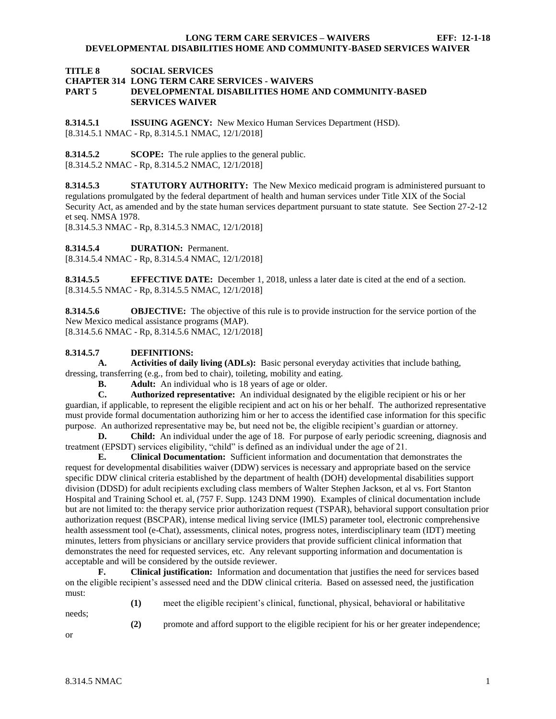### **TITLE 8 SOCIAL SERVICES CHAPTER 314 LONG TERM CARE SERVICES - WAIVERS PART 5 DEVELOPMENTAL DISABILITIES HOME AND COMMUNITY-BASED SERVICES WAIVER**

<span id="page-1-0"></span>**8.314.5.1 ISSUING AGENCY:** New Mexico Human Services Department (HSD). [8.314.5.1 NMAC - Rp, 8.314.5.1 NMAC, 12/1/2018]

<span id="page-1-1"></span>**8.314.5.2 SCOPE:** The rule applies to the general public. [8.314.5.2 NMAC - Rp, 8.314.5.2 NMAC, 12/1/2018]

<span id="page-1-2"></span>**8.314.5.3 STATUTORY AUTHORITY:** The New Mexico medicaid program is administered pursuant to regulations promulgated by the federal department of health and human services under Title XIX of the Social Security Act, as amended and by the state human services department pursuant to state statute. See Section 27-2-12 et seq. NMSA 1978.

[8.314.5.3 NMAC - Rp, 8.314.5.3 NMAC, 12/1/2018]

<span id="page-1-3"></span>**8.314.5.4 DURATION:** Permanent.

[8.314.5.4 NMAC - Rp, 8.314.5.4 NMAC, 12/1/2018]

<span id="page-1-4"></span>**8.314.5.5 EFFECTIVE DATE:** December 1, 2018, unless a later date is cited at the end of a section. [8.314.5.5 NMAC - Rp, 8.314.5.5 NMAC, 12/1/2018]

<span id="page-1-5"></span>**8.314.5.6 OBJECTIVE:** The objective of this rule is to provide instruction for the service portion of the New Mexico medical assistance programs (MAP). [8.314.5.6 NMAC - Rp, 8.314.5.6 NMAC, 12/1/2018]

### <span id="page-1-6"></span>**8.314.5.7 DEFINITIONS:**

**A. Activities of daily living (ADLs):** Basic personal everyday activities that include bathing, dressing, transferring (e.g., from bed to chair), toileting, mobility and eating.

**B. Adult:** An individual who is 18 years of age or older.

**C. Authorized representative:** An individual designated by the eligible recipient or his or her guardian, if applicable, to represent the eligible recipient and act on his or her behalf. The authorized representative must provide formal documentation authorizing him or her to access the identified case information for this specific purpose. An authorized representative may be, but need not be, the eligible recipient's guardian or attorney.

**D. Child:** An individual under the age of 18. For purpose of early periodic screening, diagnosis and treatment (EPSDT) services eligibility, "child" is defined as an individual under the age of 21.

**E. Clinical Documentation:** Sufficient information and documentation that demonstrates the request for developmental disabilities waiver (DDW) services is necessary and appropriate based on the service specific DDW clinical criteria established by the department of health (DOH) developmental disabilities support division (DDSD) for adult recipients excluding class members of Walter Stephen Jackson, et al vs. Fort Stanton Hospital and Training School et. al, (757 F. Supp. 1243 DNM 1990). Examples of clinical documentation include but are not limited to: the therapy service prior authorization request (TSPAR), behavioral support consultation prior authorization request (BSCPAR), intense medical living service (IMLS) parameter tool, electronic comprehensive health assessment tool (e-Chat), assessments, clinical notes, progress notes, interdisciplinary team (IDT) meeting minutes, letters from physicians or ancillary service providers that provide sufficient clinical information that demonstrates the need for requested services, etc. Any relevant supporting information and documentation is acceptable and will be considered by the outside reviewer.

**F. Clinical justification:** Information and documentation that justifies the need for services based on the eligible recipient's assessed need and the DDW clinical criteria. Based on assessed need, the justification must:

needs;

**(1)** meet the eligible recipient's clinical, functional, physical, behavioral or habilitative

**(2)** promote and afford support to the eligible recipient for his or her greater independence;

or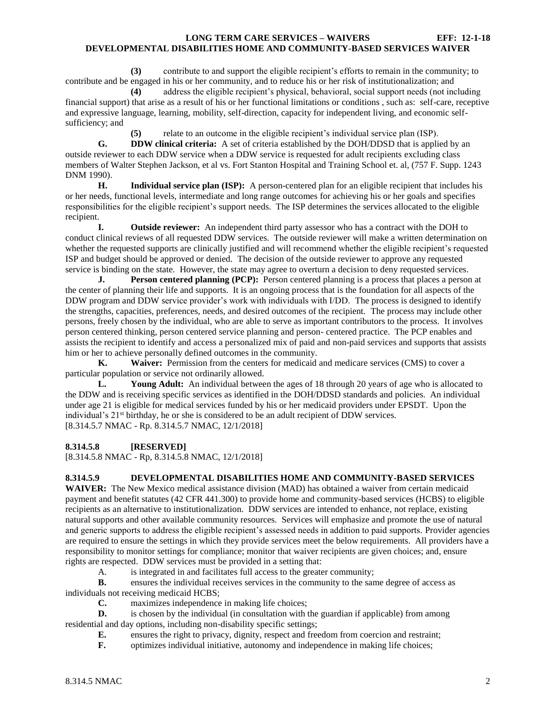**(3)** contribute to and support the eligible recipient's efforts to remain in the community; to contribute and be engaged in his or her community, and to reduce his or her risk of institutionalization; and

**(4)** address the eligible recipient's physical, behavioral, social support needs (not including financial support) that arise as a result of his or her functional limitations or conditions , such as: self-care, receptive and expressive language, learning, mobility, self-direction, capacity for independent living, and economic selfsufficiency; and

relate to an outcome in the eligible recipient's individual service plan (ISP).

**G. DDW clinical criteria:** A set of criteria established by the DOH/DDSD that is applied by an outside reviewer to each DDW service when a DDW service is requested for adult recipients excluding class members of Walter Stephen Jackson, et al vs. Fort Stanton Hospital and Training School et. al, (757 F. Supp. 1243 DNM 1990).

**H. Individual service plan (ISP):** A person-centered plan for an eligible recipient that includes his or her needs, functional levels, intermediate and long range outcomes for achieving his or her goals and specifies responsibilities for the eligible recipient's support needs. The ISP determines the services allocated to the eligible recipient.

**I. Outside reviewer:** An independent third party assessor who has a contract with the DOH to conduct clinical reviews of all requested DDW services. The outside reviewer will make a written determination on whether the requested supports are clinically justified and will recommend whether the eligible recipient's requested ISP and budget should be approved or denied. The decision of the outside reviewer to approve any requested service is binding on the state. However, the state may agree to overturn a decision to deny requested services.

**J. Person centered planning (PCP):** Person centered planning is a process that places a person at the center of planning their life and supports. It is an ongoing process that is the foundation for all aspects of the DDW program and DDW service provider's work with individuals with I/DD. The process is designed to identify the strengths, capacities, preferences, needs, and desired outcomes of the recipient. The process may include other persons, freely chosen by the individual, who are able to serve as important contributors to the process. It involves person centered thinking, person centered service planning and person- centered practice. The PCP enables and assists the recipient to identify and access a personalized mix of paid and non-paid services and supports that assists him or her to achieve personally defined outcomes in the community.

**K. Waiver:** Permission from the centers for medicaid and medicare services (CMS) to cover a particular population or service not ordinarily allowed.

**L. Young Adult:** An individual between the ages of 18 through 20 years of age who is allocated to the DDW and is receiving specific services as identified in the DOH/DDSD standards and policies. An individual under age 21 is eligible for medical services funded by his or her medicaid providers under EPSDT. Upon the individual's 21<sup>st</sup> birthday, he or she is considered to be an adult recipient of DDW services. [8.314.5.7 NMAC - Rp. 8.314.5.7 NMAC, 12/1/2018]

## <span id="page-2-0"></span>**8.314.5.8 [RESERVED]**

[8.314.5.8 NMAC - Rp, 8.314.5.8 NMAC, 12/1/2018]

## <span id="page-2-1"></span>**8.314.5.9 DEVELOPMENTAL DISABILITIES HOME AND COMMUNITY-BASED SERVICES**

**WAIVER:** The New Mexico medical assistance division (MAD) has obtained a waiver from certain medicaid payment and benefit statutes (42 CFR 441.300) to provide home and community-based services (HCBS) to eligible recipients as an alternative to institutionalization. DDW services are intended to enhance, not replace, existing natural supports and other available community resources. Services will emphasize and promote the use of natural and generic supports to address the eligible recipient's assessed needs in addition to paid supports. Provider agencies are required to ensure the settings in which they provide services meet the below requirements. All providers have a responsibility to monitor settings for compliance; monitor that waiver recipients are given choices; and, ensure rights are respected. DDW services must be provided in a setting that:

A. is integrated in and facilitates full access to the greater community;

**B.** ensures the individual receives services in the community to the same degree of access as individuals not receiving medicaid HCBS;

**C.** maximizes independence in making life choices;

**D.** is chosen by the individual (in consultation with the guardian if applicable) from among residential and day options, including non-disability specific settings;

**E.** ensures the right to privacy, dignity, respect and freedom from coercion and restraint;

**F.** optimizes individual initiative, autonomy and independence in making life choices;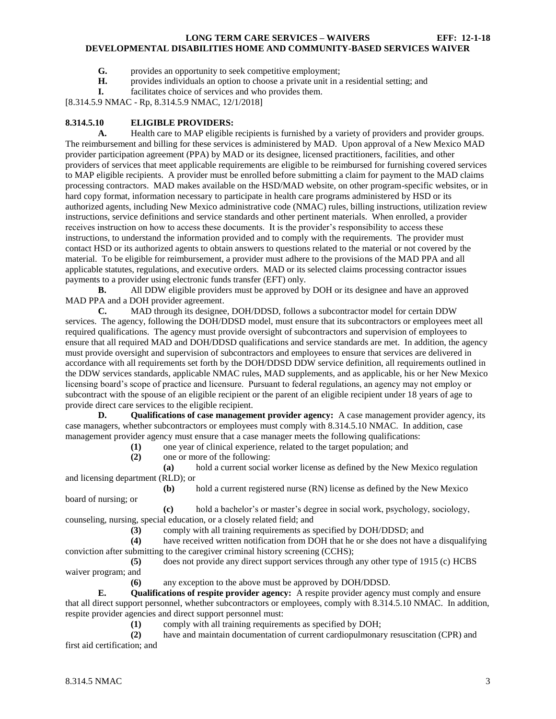- **G.** provides an opportunity to seek competitive employment;
- **H.** provides individuals an option to choose a private unit in a residential setting; and
- **I.** facilitates choice of services and who provides them.

[8.314.5.9 NMAC - Rp, 8.314.5.9 NMAC, 12/1/2018]

### <span id="page-3-0"></span>**8.314.5.10 ELIGIBLE PROVIDERS:**

**A.** Health care to MAP eligible recipients is furnished by a variety of providers and provider groups. The reimbursement and billing for these services is administered by MAD. Upon approval of a New Mexico MAD provider participation agreement (PPA) by MAD or its designee, licensed practitioners, facilities, and other providers of services that meet applicable requirements are eligible to be reimbursed for furnishing covered services to MAP eligible recipients. A provider must be enrolled before submitting a claim for payment to the MAD claims processing contractors. MAD makes available on the HSD/MAD website, on other program-specific websites, or in hard copy format, information necessary to participate in health care programs administered by HSD or its authorized agents, including New Mexico administrative code (NMAC) rules, billing instructions, utilization review instructions, service definitions and service standards and other pertinent materials. When enrolled, a provider receives instruction on how to access these documents. It is the provider's responsibility to access these instructions, to understand the information provided and to comply with the requirements. The provider must contact HSD or its authorized agents to obtain answers to questions related to the material or not covered by the material. To be eligible for reimbursement, a provider must adhere to the provisions of the MAD PPA and all applicable statutes, regulations, and executive orders. MAD or its selected claims processing contractor issues payments to a provider using electronic funds transfer (EFT) only.

**B.** All DDW eligible providers must be approved by DOH or its designee and have an approved MAD PPA and a DOH provider agreement.

**C.** MAD through its designee, DOH/DDSD, follows a subcontractor model for certain DDW services. The agency, following the DOH/DDSD model, must ensure that its subcontractors or employees meet all required qualifications. The agency must provide oversight of subcontractors and supervision of employees to ensure that all required MAD and DOH/DDSD qualifications and service standards are met. In addition, the agency must provide oversight and supervision of subcontractors and employees to ensure that services are delivered in accordance with all requirements set forth by the DOH/DDSD DDW service definition, all requirements outlined in the DDW services standards, applicable NMAC rules, MAD supplements, and as applicable, his or her New Mexico licensing board's scope of practice and licensure. Pursuant to federal regulations, an agency may not employ or subcontract with the spouse of an eligible recipient or the parent of an eligible recipient under 18 years of age to provide direct care services to the eligible recipient.

**D. Qualifications of case management provider agency:** A case management provider agency, its case managers, whether subcontractors or employees must comply with 8.314.5.10 NMAC. In addition, case management provider agency must ensure that a case manager meets the following qualifications:

**(1)** one year of clinical experience, related to the target population; and

**(2)** one or more of the following:

**(a)** hold a current social worker license as defined by the New Mexico regulation and licensing department (RLD); or

**(b)** hold a current registered nurse (RN) license as defined by the New Mexico board of nursing; or

**(c)** hold a bachelor's or master's degree in social work, psychology, sociology, counseling, nursing, special education, or a closely related field; and

**(3)** comply with all training requirements as specified by DOH/DDSD; and

**(4)** have received written notification from DOH that he or she does not have a disqualifying conviction after submitting to the caregiver criminal history screening (CCHS);

**(5)** does not provide any direct support services through any other type of 1915 (c) HCBS waiver program; and

**(6)** any exception to the above must be approved by DOH/DDSD.

**E. Qualifications of respite provider agency:** A respite provider agency must comply and ensure that all direct support personnel, whether subcontractors or employees, comply with 8.314.5.10 NMAC. In addition, respite provider agencies and direct support personnel must:

**(1)** comply with all training requirements as specified by DOH;

**(2)** have and maintain documentation of current cardiopulmonary resuscitation (CPR) and first aid certification; and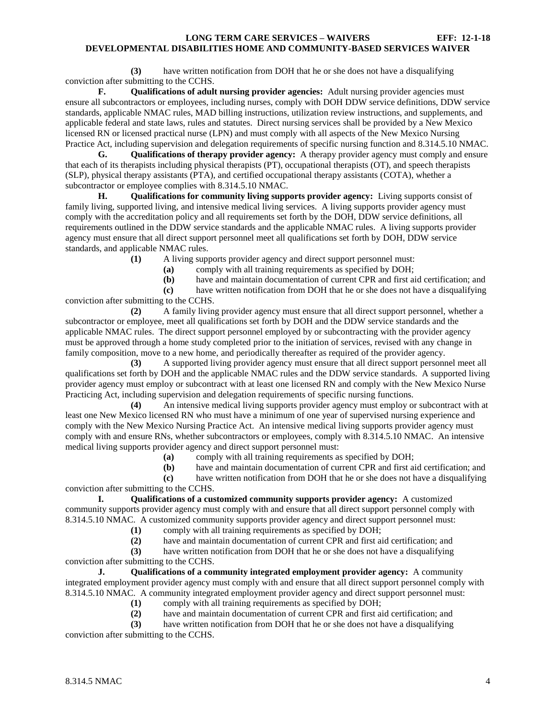**(3)** have written notification from DOH that he or she does not have a disqualifying conviction after submitting to the CCHS.

**F. Qualifications of adult nursing provider agencies:** Adult nursing provider agencies must ensure all subcontractors or employees, including nurses, comply with DOH DDW service definitions, DDW service standards, applicable NMAC rules, MAD billing instructions, utilization review instructions, and supplements, and applicable federal and state laws, rules and statutes. Direct nursing services shall be provided by a New Mexico licensed RN or licensed practical nurse (LPN) and must comply with all aspects of the New Mexico Nursing Practice Act, including supervision and delegation requirements of specific nursing function and 8.314.5.10 NMAC.

**G. Qualifications of therapy provider agency:** A therapy provider agency must comply and ensure that each of its therapists including physical therapists (PT), occupational therapists (OT), and speech therapists (SLP), physical therapy assistants (PTA), and certified occupational therapy assistants (COTA), whether a subcontractor or employee complies with 8.314.5.10 NMAC.

**H. Qualifications for community living supports provider agency:** Living supports consist of family living, supported living, and intensive medical living services. A living supports provider agency must comply with the accreditation policy and all requirements set forth by the DOH, DDW service definitions, all requirements outlined in the DDW service standards and the applicable NMAC rules. A living supports provider agency must ensure that all direct support personnel meet all qualifications set forth by DOH, DDW service standards, and applicable NMAC rules.

**(1)** A living supports provider agency and direct support personnel must:

- **(a)** comply with all training requirements as specified by DOH;
- **(b)** have and maintain documentation of current CPR and first aid certification; and

**(c)** have written notification from DOH that he or she does not have a disqualifying conviction after submitting to the CCHS.

**(2)** A family living provider agency must ensure that all direct support personnel, whether a subcontractor or employee, meet all qualifications set forth by DOH and the DDW service standards and the applicable NMAC rules. The direct support personnel employed by or subcontracting with the provider agency must be approved through a home study completed prior to the initiation of services, revised with any change in family composition, move to a new home, and periodically thereafter as required of the provider agency.

**(3)** A supported living provider agency must ensure that all direct support personnel meet all qualifications set forth by DOH and the applicable NMAC rules and the DDW service standards. A supported living provider agency must employ or subcontract with at least one licensed RN and comply with the New Mexico Nurse Practicing Act, including supervision and delegation requirements of specific nursing functions.

**(4)** An intensive medical living supports provider agency must employ or subcontract with at least one New Mexico licensed RN who must have a minimum of one year of supervised nursing experience and comply with the New Mexico Nursing Practice Act. An intensive medical living supports provider agency must comply with and ensure RNs, whether subcontractors or employees, comply with 8.314.5.10 NMAC. An intensive medical living supports provider agency and direct support personnel must:

**(a)** comply with all training requirements as specified by DOH;

**(b)** have and maintain documentation of current CPR and first aid certification; and

**(c)** have written notification from DOH that he or she does not have a disqualifying conviction after submitting to the CCHS.

**I. Qualifications of a customized community supports provider agency:** A customized community supports provider agency must comply with and ensure that all direct support personnel comply with 8.314.5.10 NMAC. A customized community supports provider agency and direct support personnel must:

**(1)** comply with all training requirements as specified by DOH;

**(2)** have and maintain documentation of current CPR and first aid certification; and

**(3)** have written notification from DOH that he or she does not have a disqualifying conviction after submitting to the CCHS.

**J. Qualifications of a community integrated employment provider agency:** A community integrated employment provider agency must comply with and ensure that all direct support personnel comply with 8.314.5.10 NMAC. A community integrated employment provider agency and direct support personnel must:

- **(1)** comply with all training requirements as specified by DOH;
- **(2)** have and maintain documentation of current CPR and first aid certification; and

**(3)** have written notification from DOH that he or she does not have a disqualifying conviction after submitting to the CCHS.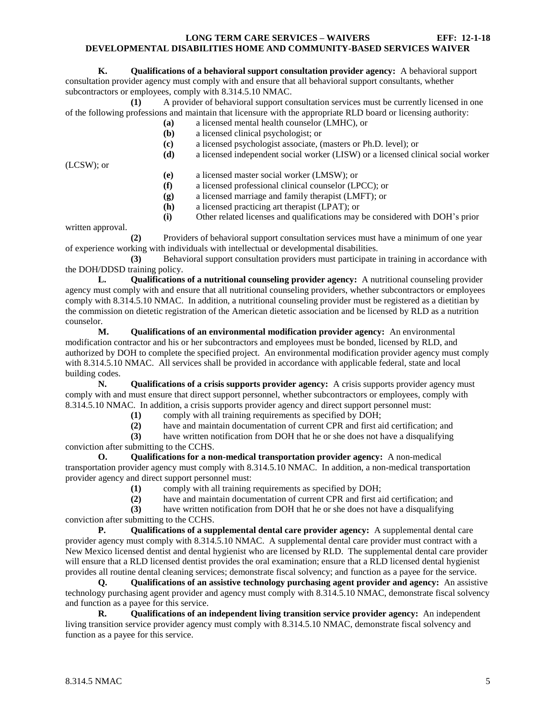**K. Qualifications of a behavioral support consultation provider agency:** A behavioral support consultation provider agency must comply with and ensure that all behavioral support consultants, whether subcontractors or employees, comply with 8.314.5.10 NMAC.

**(1)** A provider of behavioral support consultation services must be currently licensed in one of the following professions and maintain that licensure with the appropriate RLD board or licensing authority:

- **(a)** a licensed mental health counselor (LMHC), or
- **(b)** a licensed clinical psychologist; or
- **(c)** a licensed psychologist associate, (masters or Ph.D. level); or **(d)** a licensed independent social worker (LISW) or a licensed clinical social worker

(LCSW); or

- **(e)** a licensed master social worker (LMSW); or
- **(f)** a licensed professional clinical counselor (LPCC); or
- **(g)** a licensed marriage and family therapist (LMFT); or
- **(h)** a licensed practicing art therapist (LPAT); or

**(i)** Other related licenses and qualifications may be considered with DOH's prior

written approval.

**(2)** Providers of behavioral support consultation services must have a minimum of one year of experience working with individuals with intellectual or developmental disabilities.

**(3)** Behavioral support consultation providers must participate in training in accordance with the DOH/DDSD training policy.

**L. Qualifications of a nutritional counseling provider agency:** A nutritional counseling provider agency must comply with and ensure that all nutritional counseling providers, whether subcontractors or employees comply with 8.314.5.10 NMAC. In addition, a nutritional counseling provider must be registered as a dietitian by the commission on dietetic registration of the American dietetic association and be licensed by RLD as a nutrition counselor.

**M. Qualifications of an environmental modification provider agency:** An environmental modification contractor and his or her subcontractors and employees must be bonded, licensed by RLD, and authorized by DOH to complete the specified project. An environmental modification provider agency must comply with 8.314.5.10 NMAC. All services shall be provided in accordance with applicable federal, state and local building codes.

**N. Qualifications of a crisis supports provider agency:** A crisis supports provider agency must comply with and must ensure that direct support personnel, whether subcontractors or employees, comply with 8.314.5.10 NMAC. In addition, a crisis supports provider agency and direct support personnel must:

**(1)** comply with all training requirements as specified by DOH;

**(2)** have and maintain documentation of current CPR and first aid certification; and

**(3)** have written notification from DOH that he or she does not have a disqualifying conviction after submitting to the CCHS.

**O. Qualifications for a non-medical transportation provider agency:** A non-medical transportation provider agency must comply with 8.314.5.10 NMAC. In addition, a non-medical transportation provider agency and direct support personnel must:

**(1)** comply with all training requirements as specified by DOH;

**(2)** have and maintain documentation of current CPR and first aid certification; and

**(3)** have written notification from DOH that he or she does not have a disqualifying conviction after submitting to the CCHS.

**P. Qualifications of a supplemental dental care provider agency:** A supplemental dental care provider agency must comply with 8.314.5.10 NMAC. A supplemental dental care provider must contract with a New Mexico licensed dentist and dental hygienist who are licensed by RLD. The supplemental dental care provider will ensure that a RLD licensed dentist provides the oral examination; ensure that a RLD licensed dental hygienist provides all routine dental cleaning services; demonstrate fiscal solvency; and function as a payee for the service.

**Q. Qualifications of an assistive technology purchasing agent provider and agency:** An assistive technology purchasing agent provider and agency must comply with 8.314.5.10 NMAC, demonstrate fiscal solvency and function as a payee for this service.

**R. Qualifications of an independent living transition service provider agency:** An independent living transition service provider agency must comply with 8.314.5.10 NMAC, demonstrate fiscal solvency and function as a payee for this service.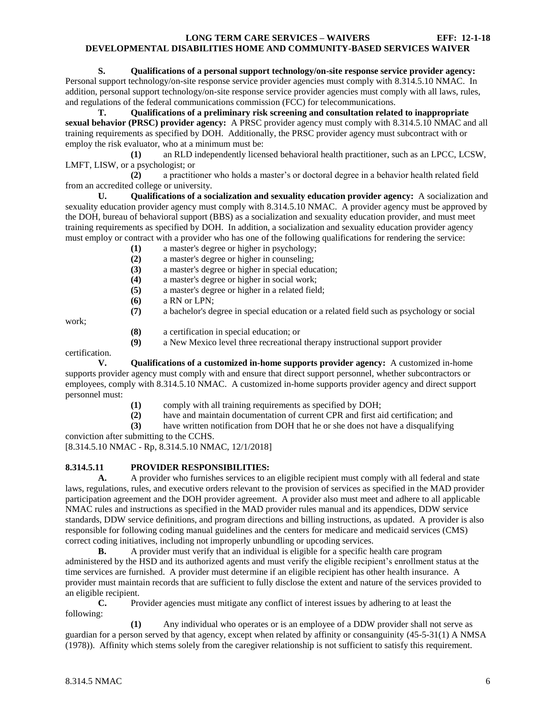# **S. Qualifications of a personal support technology/on-site response service provider agency:**

Personal support technology/on-site response service provider agencies must comply with 8.314.5.10 NMAC. In addition, personal support technology/on-site response service provider agencies must comply with all laws, rules, and regulations of the federal communications commission (FCC) for telecommunications.

**T. Qualifications of a preliminary risk screening and consultation related to inappropriate sexual behavior (PRSC) provider agency:** A PRSC provider agency must comply with 8.314.5.10 NMAC and all training requirements as specified by DOH. Additionally, the PRSC provider agency must subcontract with or employ the risk evaluator, who at a minimum must be:

**(1)** an RLD independently licensed behavioral health practitioner, such as an LPCC, LCSW, LMFT, LISW, or a psychologist; or

**(2)** a practitioner who holds a master's or doctoral degree in a behavior health related field from an accredited college or university.

**U. Qualifications of a socialization and sexuality education provider agency:** A socialization and sexuality education provider agency must comply with 8.314.5.10 NMAC. A provider agency must be approved by the DOH, bureau of behavioral support (BBS) as a socialization and sexuality education provider, and must meet training requirements as specified by DOH. In addition, a socialization and sexuality education provider agency must employ or contract with a provider who has one of the following qualifications for rendering the service:

- **(1)** a master's degree or higher in psychology;
- **(2)** a master's degree or higher in counseling;
- **(3)** a master's degree or higher in special education;
- **(4)** a master's degree or higher in social work;
- **(5)** a master's degree or higher in a related field;
- **(6)** a RN or LPN;
- **(7)** a bachelor's degree in special education or a related field such as psychology or social

work;

- **(8)** a certification in special education; or
- **(9)** a New Mexico level three recreational therapy instructional support provider

certification.

**V. Qualifications of a customized in-home supports provider agency:** A customized in-home supports provider agency must comply with and ensure that direct support personnel, whether subcontractors or employees, comply with 8.314.5.10 NMAC. A customized in-home supports provider agency and direct support personnel must:

- **(1)** comply with all training requirements as specified by DOH;
- **(2)** have and maintain documentation of current CPR and first aid certification; and
- **(3)** have written notification from DOH that he or she does not have a disqualifying

conviction after submitting to the CCHS.

[8.314.5.10 NMAC - Rp, 8.314.5.10 NMAC, 12/1/2018]

# <span id="page-6-0"></span>**8.314.5.11 PROVIDER RESPONSIBILITIES:**

**A.** A provider who furnishes services to an eligible recipient must comply with all federal and state laws, regulations, rules, and executive orders relevant to the provision of services as specified in the MAD provider participation agreement and the DOH provider agreement. A provider also must meet and adhere to all applicable NMAC rules and instructions as specified in the MAD provider rules manual and its appendices, DDW service standards, DDW service definitions, and program directions and billing instructions, as updated. A provider is also responsible for following coding manual guidelines and the centers for medicare and medicaid services (CMS) correct coding initiatives, including not improperly unbundling or upcoding services.

**B.** A provider must verify that an individual is eligible for a specific health care program administered by the HSD and its authorized agents and must verify the eligible recipient's enrollment status at the time services are furnished. A provider must determine if an eligible recipient has other health insurance. A provider must maintain records that are sufficient to fully disclose the extent and nature of the services provided to an eligible recipient.

**C.** Provider agencies must mitigate any conflict of interest issues by adhering to at least the following:

**(1)** Any individual who operates or is an employee of a DDW provider shall not serve as guardian for a person served by that agency, except when related by affinity or consanguinity (45-5-31(1) A NMSA (1978)). Affinity which stems solely from the caregiver relationship is not sufficient to satisfy this requirement.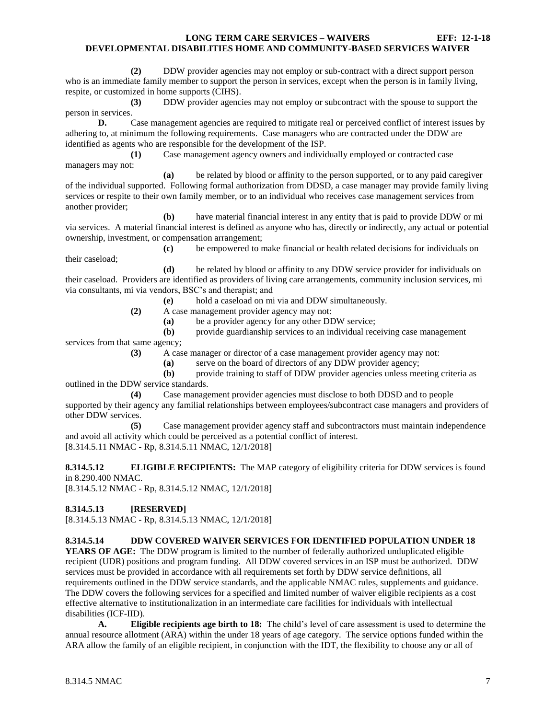**(2)** DDW provider agencies may not employ or sub-contract with a direct support person who is an immediate family member to support the person in services, except when the person is in family living, respite, or customized in home supports (CIHS).

**(3)** DDW provider agencies may not employ or subcontract with the spouse to support the person in services.

**D.** Case management agencies are required to mitigate real or perceived conflict of interest issues by adhering to, at minimum the following requirements. Case managers who are contracted under the DDW are identified as agents who are responsible for the development of the ISP.

**(1)** Case management agency owners and individually employed or contracted case managers may not:

**(a)** be related by blood or affinity to the person supported, or to any paid caregiver of the individual supported. Following formal authorization from DDSD, a case manager may provide family living services or respite to their own family member, or to an individual who receives case management services from another provider;

**(b)** have material financial interest in any entity that is paid to provide DDW or mi via services. A material financial interest is defined as anyone who has, directly or indirectly, any actual or potential ownership, investment, or compensation arrangement;

**(c)** be empowered to make financial or health related decisions for individuals on their caseload;

**(d)** be related by blood or affinity to any DDW service provider for individuals on their caseload. Providers are identified as providers of living care arrangements, community inclusion services, mi via consultants, mi via vendors, BSC's and therapist; and

**(e)** hold a caseload on mi via and DDW simultaneously.

**(2)** A case management provider agency may not:

**(a)** be a provider agency for any other DDW service;

**(b)** provide guardianship services to an individual receiving case management services from that same agency;

**(3)** A case manager or director of a case management provider agency may not:

**(a)** serve on the board of directors of any DDW provider agency;

**(b)** provide training to staff of DDW provider agencies unless meeting criteria as outlined in the DDW service standards.

**(4)** Case management provider agencies must disclose to both DDSD and to people supported by their agency any familial relationships between employees/subcontract case managers and providers of other DDW services.

**(5)** Case management provider agency staff and subcontractors must maintain independence and avoid all activity which could be perceived as a potential conflict of interest. [8.314.5.11 NMAC - Rp, 8.314.5.11 NMAC, 12/1/2018]

<span id="page-7-0"></span>**8.314.5.12 ELIGIBLE RECIPIENTS:** The MAP category of eligibility criteria for DDW services is found in 8.290.400 NMAC.

[8.314.5.12 NMAC - Rp, 8.314.5.12 NMAC, 12/1/2018]

## <span id="page-7-1"></span>**8.314.5.13 [RESERVED]**

[8.314.5.13 NMAC - Rp, 8.314.5.13 NMAC, 12/1/2018]

# <span id="page-7-2"></span>**8.314.5.14 DDW COVERED WAIVER SERVICES FOR IDENTIFIED POPULATION UNDER 18**

**YEARS OF AGE:** The DDW program is limited to the number of federally authorized unduplicated eligible recipient (UDR) positions and program funding. All DDW covered services in an ISP must be authorized. DDW services must be provided in accordance with all requirements set forth by DDW service definitions, all requirements outlined in the DDW service standards, and the applicable NMAC rules, supplements and guidance. The DDW covers the following services for a specified and limited number of waiver eligible recipients as a cost effective alternative to institutionalization in an intermediate care facilities for individuals with intellectual disabilities (ICF-IID).

**A. Eligible recipients age birth to 18:** The child's level of care assessment is used to determine the annual resource allotment (ARA) within the under 18 years of age category. The service options funded within the ARA allow the family of an eligible recipient, in conjunction with the IDT, the flexibility to choose any or all of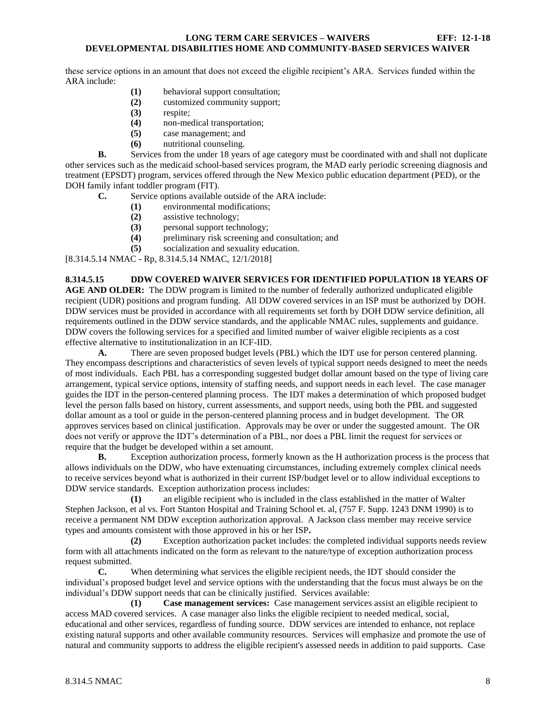these service options in an amount that does not exceed the eligible recipient's ARA. Services funded within the ARA include:

- **(1)** behavioral support consultation;
- **(2)** customized community support;
- **(3)** respite;
- **(4)** non-medical transportation;
- **(5)** case management; and
- **(6)** nutritional counseling.

**B.** Services from the under 18 years of age category must be coordinated with and shall not duplicate other services such as the medicaid school-based services program, the MAD early periodic screening diagnosis and treatment (EPSDT) program, services offered through the New Mexico public education department (PED), or the DOH family infant toddler program (FIT).

- **C.** Service options available outside of the ARA include:
	- **(1)** environmental modifications;
	- **(2)** assistive technology;
	- **(3)** personal support technology;
	- **(4)** preliminary risk screening and consultation; and
	- **(5)** socialization and sexuality education.

[8.314.5.14 NMAC - Rp, 8.314.5.14 NMAC, 12/1/2018]

# <span id="page-8-0"></span>**8.314.5.15 DDW COVERED WAIVER SERVICES FOR IDENTIFIED POPULATION 18 YEARS OF**

**AGE AND OLDER:** The DDW program is limited to the number of federally authorized unduplicated eligible recipient (UDR) positions and program funding. All DDW covered services in an ISP must be authorized by DOH. DDW services must be provided in accordance with all requirements set forth by DOH DDW service definition, all requirements outlined in the DDW service standards, and the applicable NMAC rules, supplements and guidance. DDW covers the following services for a specified and limited number of waiver eligible recipients as a cost effective alternative to institutionalization in an ICF-IID.

**A.** There are seven proposed budget levels (PBL) which the IDT use for person centered planning. They encompass descriptions and characteristics of seven levels of typical support needs designed to meet the needs of most individuals. Each PBL has a corresponding suggested budget dollar amount based on the type of living care arrangement, typical service options, intensity of staffing needs, and support needs in each level. The case manager guides the IDT in the person-centered planning process. The IDT makes a determination of which proposed budget level the person falls based on history, current assessments, and support needs, using both the PBL and suggested dollar amount as a tool or guide in the person-centered planning process and in budget development. The OR approves services based on clinical justification. Approvals may be over or under the suggested amount. The OR does not verify or approve the IDT's determination of a PBL, nor does a PBL limit the request for services or require that the budget be developed within a set amount.

**B.** Exception authorization process, formerly known as the H authorization process is the process that allows individuals on the DDW, who have extenuating circumstances, including extremely complex clinical needs to receive services beyond what is authorized in their current ISP/budget level or to allow individual exceptions to DDW service standards. Exception authorization process includes:

**(1)** an eligible recipient who is included in the class established in the matter of Walter Stephen Jackson, et al vs. Fort Stanton Hospital and Training School et. al, (757 F. Supp. 1243 DNM 1990) is to receive a permanent NM DDW exception authorization approval. A Jackson class member may receive service types and amounts consistent with those approved in his or her ISP**.**

**(2)** Exception authorization packet includes: the completed individual supports needs review form with all attachments indicated on the form as relevant to the nature/type of exception authorization process request submitted.

**C.** When determining what services the eligible recipient needs, the IDT should consider the individual's proposed budget level and service options with the understanding that the focus must always be on the individual's DDW support needs that can be clinically justified. Services available:

**(1) Case management services:** Case management services assist an eligible recipient to access MAD covered services. A case manager also links the eligible recipient to needed medical, social, educational and other services, regardless of funding source. DDW services are intended to enhance, not replace existing natural supports and other available community resources. Services will emphasize and promote the use of natural and community supports to address the eligible recipient's assessed needs in addition to paid supports. Case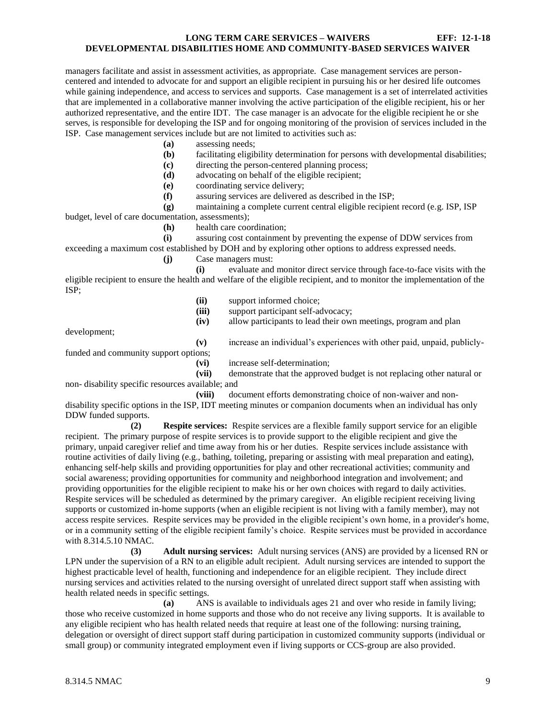managers facilitate and assist in assessment activities, as appropriate. Case management services are personcentered and intended to advocate for and support an eligible recipient in pursuing his or her desired life outcomes while gaining independence, and access to services and supports. Case management is a set of interrelated activities that are implemented in a collaborative manner involving the active participation of the eligible recipient, his or her authorized representative, and the entire IDT. The case manager is an advocate for the eligible recipient he or she serves, is responsible for developing the ISP and for ongoing monitoring of the provision of services included in the ISP. Case management services include but are not limited to activities such as:

**(a)** assessing needs;

**(b)** facilitating eligibility determination for persons with developmental disabilities;

**(c)** directing the person-centered planning process;

- **(d)** advocating on behalf of the eligible recipient;
- **(e)** coordinating service delivery;

**(f)** assuring services are delivered as described in the ISP;

**(g)** maintaining a complete current central eligible recipient record (e.g. ISP, ISP budget, level of care documentation, assessments);

**(h)** health care coordination;

**(i)** assuring cost containment by preventing the expense of DDW services from exceeding a maximum cost established by DOH and by exploring other options to address expressed needs.

**(j)** Case managers must:

**(i)** evaluate and monitor direct service through face-to-face visits with the eligible recipient to ensure the health and welfare of the eligible recipient, and to monitor the implementation of the ISP;

- **(ii)** support informed choice;
- **(iii)** support participant self-advocacy;
- **(iv)** allow participants to lead their own meetings, program and plan

development;

**(v)** increase an individual's experiences with other paid, unpaid, publiclyfunded and community support options;

**(vi)** increase self-determination;

**(vii)** demonstrate that the approved budget is not replacing other natural or non- disability specific resources available; and

**(viii)** document efforts demonstrating choice of non-waiver and nondisability specific options in the ISP, IDT meeting minutes or companion documents when an individual has only DDW funded supports.

**(2) Respite services:** Respite services are a flexible family support service for an eligible recipient. The primary purpose of respite services is to provide support to the eligible recipient and give the primary, unpaid caregiver relief and time away from his or her duties. Respite services include assistance with routine activities of daily living (e.g., bathing, toileting, preparing or assisting with meal preparation and eating), enhancing self-help skills and providing opportunities for play and other recreational activities; community and social awareness; providing opportunities for community and neighborhood integration and involvement; and providing opportunities for the eligible recipient to make his or her own choices with regard to daily activities. Respite services will be scheduled as determined by the primary caregiver. An eligible recipient receiving living supports or customized in-home supports (when an eligible recipient is not living with a family member), may not access respite services. Respite services may be provided in the eligible recipient's own home, in a provider's home, or in a community setting of the eligible recipient family's choice. Respite services must be provided in accordance with 8.314.5.10 NMAC.

**(3) Adult nursing services:** Adult nursing services (ANS) are provided by a licensed RN or LPN under the supervision of a RN to an eligible adult recipient. Adult nursing services are intended to support the highest practicable level of health, functioning and independence for an eligible recipient. They include direct nursing services and activities related to the nursing oversight of unrelated direct support staff when assisting with health related needs in specific settings.

**(a)** ANS is available to individuals ages 21 and over who reside in family living; those who receive customized in home supports and those who do not receive any living supports. It is available to any eligible recipient who has health related needs that require at least one of the following: nursing training, delegation or oversight of direct support staff during participation in customized community supports (individual or small group) or community integrated employment even if living supports or CCS-group are also provided.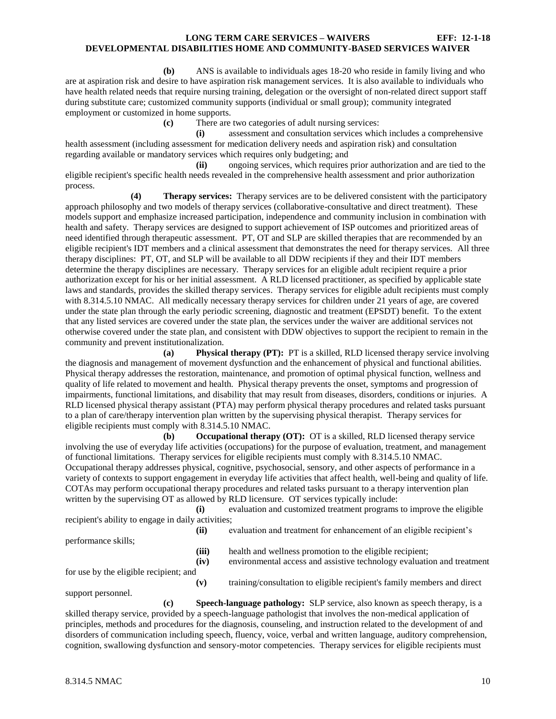**(b)** ANS is available to individuals ages 18-20 who reside in family living and who are at aspiration risk and desire to have aspiration risk management services. It is also available to individuals who have health related needs that require nursing training, delegation or the oversight of non-related direct support staff during substitute care; customized community supports (individual or small group); community integrated employment or customized in home supports.

**(c)** There are two categories of adult nursing services:

**(i)** assessment and consultation services which includes a comprehensive health assessment (including assessment for medication delivery needs and aspiration risk) and consultation regarding available or mandatory services which requires only budgeting; and

**(ii)** ongoing services, which requires prior authorization and are tied to the eligible recipient's specific health needs revealed in the comprehensive health assessment and prior authorization process.

**(4) Therapy services:** Therapy services are to be delivered consistent with the participatory approach philosophy and two models of therapy services (collaborative-consultative and direct treatment). These models support and emphasize increased participation, independence and community inclusion in combination with health and safety. Therapy services are designed to support achievement of ISP outcomes and prioritized areas of need identified through therapeutic assessment. PT, OT and SLP are skilled therapies that are recommended by an eligible recipient's IDT members and a clinical assessment that demonstrates the need for therapy services. All three therapy disciplines: PT, OT, and SLP will be available to all DDW recipients if they and their IDT members determine the therapy disciplines are necessary. Therapy services for an eligible adult recipient require a prior authorization except for his or her initial assessment. A RLD licensed practitioner, as specified by applicable state laws and standards, provides the skilled therapy services. Therapy services for eligible adult recipients must comply with 8.314.5.10 NMAC. All medically necessary therapy services for children under 21 years of age, are covered under the state plan through the early periodic screening, diagnostic and treatment (EPSDT) benefit. To the extent that any listed services are covered under the state plan, the services under the waiver are additional services not otherwise covered under the state plan, and consistent with DDW objectives to support the recipient to remain in the community and prevent institutionalization.

**(a) Physical therapy (PT):** PT is a skilled, RLD licensed therapy service involving the diagnosis and management of movement dysfunction and the enhancement of physical and functional abilities. Physical therapy addresses the restoration, maintenance, and promotion of optimal physical function, wellness and quality of life related to movement and health. Physical therapy prevents the onset, symptoms and progression of impairments, functional limitations, and disability that may result from diseases, disorders, conditions or injuries. A RLD licensed physical therapy assistant (PTA) may perform physical therapy procedures and related tasks pursuant to a plan of care/therapy intervention plan written by the supervising physical therapist. Therapy services for eligible recipients must comply with 8.314.5.10 NMAC.

**(b) Occupational therapy (OT):** OT is a skilled, RLD licensed therapy service involving the use of everyday life activities (occupations) for the purpose of evaluation, treatment, and management of functional limitations. Therapy services for eligible recipients must comply with 8.314.5.10 NMAC. Occupational therapy addresses physical, cognitive, psychosocial, sensory, and other aspects of performance in a variety of contexts to support engagement in everyday life activities that affect health, well-being and quality of life. COTAs may perform occupational therapy procedures and related tasks pursuant to a therapy intervention plan written by the supervising OT as allowed by RLD licensure. OT services typically include:

**(i)** evaluation and customized treatment programs to improve the eligible recipient's ability to engage in daily activities;

| performance skills;                    | (ii)  | evaluation and treatment for enhancement of an eligible recipient's    |
|----------------------------------------|-------|------------------------------------------------------------------------|
|                                        | (iii) | health and wellness promotion to the eligible recipient;               |
|                                        | (iv)  | environmental access and assistive technology evaluation and treatment |
| for use by the eligible recipient; and |       |                                                                        |
|                                        |       |                                                                        |

support personnel.

**(v)** training/consultation to eligible recipient's family members and direct

**(c) Speech-language pathology:** SLP service, also known as speech therapy, is a skilled therapy service, provided by a speech-language pathologist that involves the non-medical application of principles, methods and procedures for the diagnosis, counseling, and instruction related to the development of and disorders of communication including speech, fluency, voice, verbal and written language, auditory comprehension, cognition, swallowing dysfunction and sensory-motor competencies. Therapy services for eligible recipients must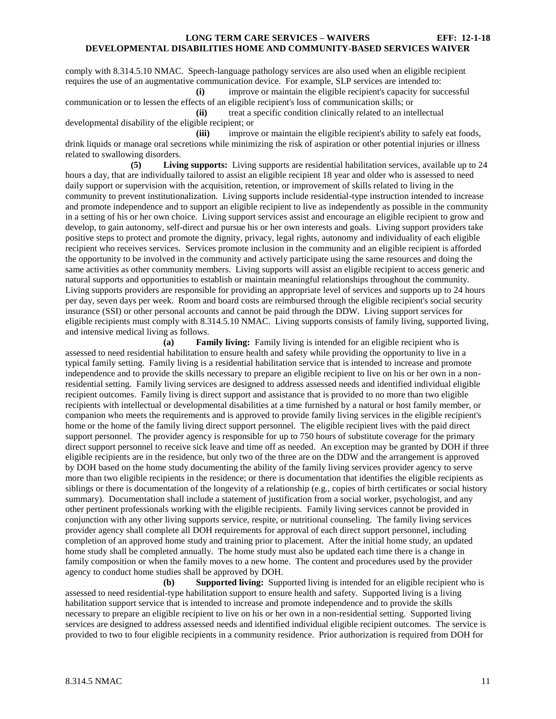comply with 8.314.5.10 NMAC. Speech-language pathology services are also used when an eligible recipient requires the use of an augmentative communication device. For example, SLP services are intended to: **(i)** improve or maintain the eligible recipient's capacity for successful

communication or to lessen the effects of an eligible recipient's loss of communication skills; or **(ii)** treat a specific condition clinically related to an intellectual

developmental disability of the eligible recipient; or

**(iii)** improve or maintain the eligible recipient's ability to safely eat foods, drink liquids or manage oral secretions while minimizing the risk of aspiration or other potential injuries or illness related to swallowing disorders.

**(5) Living supports:** Living supports are residential habilitation services, available up to 24 hours a day, that are individually tailored to assist an eligible recipient 18 year and older who is assessed to need daily support or supervision with the acquisition, retention, or improvement of skills related to living in the community to prevent institutionalization. Living supports include residential-type instruction intended to increase and promote independence and to support an eligible recipient to live as independently as possible in the community in a setting of his or her own choice. Living support services assist and encourage an eligible recipient to grow and develop, to gain autonomy, self-direct and pursue his or her own interests and goals. Living support providers take positive steps to protect and promote the dignity, privacy, legal rights, autonomy and individuality of each eligible recipient who receives services. Services promote inclusion in the community and an eligible recipient is afforded the opportunity to be involved in the community and actively participate using the same resources and doing the same activities as other community members. Living supports will assist an eligible recipient to access generic and natural supports and opportunities to establish or maintain meaningful relationships throughout the community. Living supports providers are responsible for providing an appropriate level of services and supports up to 24 hours per day, seven days per week. Room and board costs are reimbursed through the eligible recipient's social security insurance (SSI) or other personal accounts and cannot be paid through the DDW. Living support services for eligible recipients must comply with 8.314.5.10 NMAC. Living supports consists of family living, supported living, and intensive medical living as follows.

**(a) Family living:** Family living is intended for an eligible recipient who is assessed to need residential habilitation to ensure health and safety while providing the opportunity to live in a typical family setting. Family living is a residential habilitation service that is intended to increase and promote independence and to provide the skills necessary to prepare an eligible recipient to live on his or her own in a nonresidential setting. Family living services are designed to address assessed needs and identified individual eligible recipient outcomes. Family living is direct support and assistance that is provided to no more than two eligible recipients with intellectual or developmental disabilities at a time furnished by a natural or host family member, or companion who meets the requirements and is approved to provide family living services in the eligible recipient's home or the home of the family living direct support personnel. The eligible recipient lives with the paid direct support personnel. The provider agency is responsible for up to 750 hours of substitute coverage for the primary direct support personnel to receive sick leave and time off as needed. An exception may be granted by DOH if three eligible recipients are in the residence, but only two of the three are on the DDW and the arrangement is approved by DOH based on the home study documenting the ability of the family living services provider agency to serve more than two eligible recipients in the residence; or there is documentation that identifies the eligible recipients as siblings or there is documentation of the longevity of a relationship (e.g., copies of birth certificates or social history summary). Documentation shall include a statement of justification from a social worker, psychologist, and any other pertinent professionals working with the eligible recipients. Family living services cannot be provided in conjunction with any other living supports service, respite, or nutritional counseling. The family living services provider agency shall complete all DOH requirements for approval of each direct support personnel, including completion of an approved home study and training prior to placement. After the initial home study, an updated home study shall be completed annually. The home study must also be updated each time there is a change in family composition or when the family moves to a new home. The content and procedures used by the provider agency to conduct home studies shall be approved by DOH.

**(b) Supported living:** Supported living is intended for an eligible recipient who is assessed to need residential-type habilitation support to ensure health and safety. Supported living is a living habilitation support service that is intended to increase and promote independence and to provide the skills necessary to prepare an eligible recipient to live on his or her own in a non-residential setting. Supported living services are designed to address assessed needs and identified individual eligible recipient outcomes. The service is provided to two to four eligible recipients in a community residence. Prior authorization is required from DOH for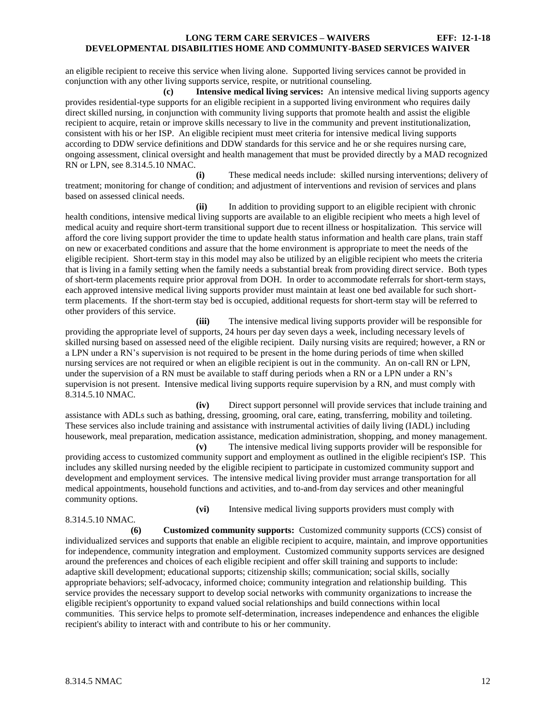an eligible recipient to receive this service when living alone. Supported living services cannot be provided in conjunction with any other living supports service, respite, or nutritional counseling.

**(c) Intensive medical living services:** An intensive medical living supports agency provides residential-type supports for an eligible recipient in a supported living environment who requires daily direct skilled nursing, in conjunction with community living supports that promote health and assist the eligible recipient to acquire, retain or improve skills necessary to live in the community and prevent institutionalization, consistent with his or her ISP. An eligible recipient must meet criteria for intensive medical living supports according to DDW service definitions and DDW standards for this service and he or she requires nursing care, ongoing assessment, clinical oversight and health management that must be provided directly by a MAD recognized RN or LPN, see 8.314.5.10 NMAC.

**(i)** These medical needs include: skilled nursing interventions; delivery of treatment; monitoring for change of condition; and adjustment of interventions and revision of services and plans based on assessed clinical needs.

**(ii)** In addition to providing support to an eligible recipient with chronic health conditions, intensive medical living supports are available to an eligible recipient who meets a high level of medical acuity and require short-term transitional support due to recent illness or hospitalization. This service will afford the core living support provider the time to update health status information and health care plans, train staff on new or exacerbated conditions and assure that the home environment is appropriate to meet the needs of the eligible recipient. Short-term stay in this model may also be utilized by an eligible recipient who meets the criteria that is living in a family setting when the family needs a substantial break from providing direct service. Both types of short-term placements require prior approval from DOH. In order to accommodate referrals for short-term stays, each approved intensive medical living supports provider must maintain at least one bed available for such shortterm placements. If the short-term stay bed is occupied, additional requests for short-term stay will be referred to other providers of this service.

**(iii)** The intensive medical living supports provider will be responsible for providing the appropriate level of supports, 24 hours per day seven days a week, including necessary levels of skilled nursing based on assessed need of the eligible recipient. Daily nursing visits are required; however, a RN or a LPN under a RN's supervision is not required to be present in the home during periods of time when skilled nursing services are not required or when an eligible recipient is out in the community. An on-call RN or LPN, under the supervision of a RN must be available to staff during periods when a RN or a LPN under a RN's supervision is not present. Intensive medical living supports require supervision by a RN, and must comply with 8.314.5.10 NMAC.

**(iv)** Direct support personnel will provide services that include training and assistance with ADLs such as bathing, dressing, grooming, oral care, eating, transferring, mobility and toileting. These services also include training and assistance with instrumental activities of daily living (IADL) including housework, meal preparation, medication assistance, medication administration, shopping, and money management.

**(v)** The intensive medical living supports provider will be responsible for providing access to customized community support and employment as outlined in the eligible recipient's ISP. This includes any skilled nursing needed by the eligible recipient to participate in customized community support and development and employment services. The intensive medical living provider must arrange transportation for all medical appointments, household functions and activities, and to-and-from day services and other meaningful community options.

8.314.5.10 NMAC.

**(vi)** Intensive medical living supports providers must comply with

**(6) Customized community supports:** Customized community supports (CCS) consist of individualized services and supports that enable an eligible recipient to acquire, maintain, and improve opportunities for independence, community integration and employment. Customized community supports services are designed around the preferences and choices of each eligible recipient and offer skill training and supports to include: adaptive skill development; educational supports; citizenship skills; communication; social skills, socially appropriate behaviors; self-advocacy, informed choice; community integration and relationship building. This service provides the necessary support to develop social networks with community organizations to increase the eligible recipient's opportunity to expand valued social relationships and build connections within local communities. This service helps to promote self-determination, increases independence and enhances the eligible recipient's ability to interact with and contribute to his or her community.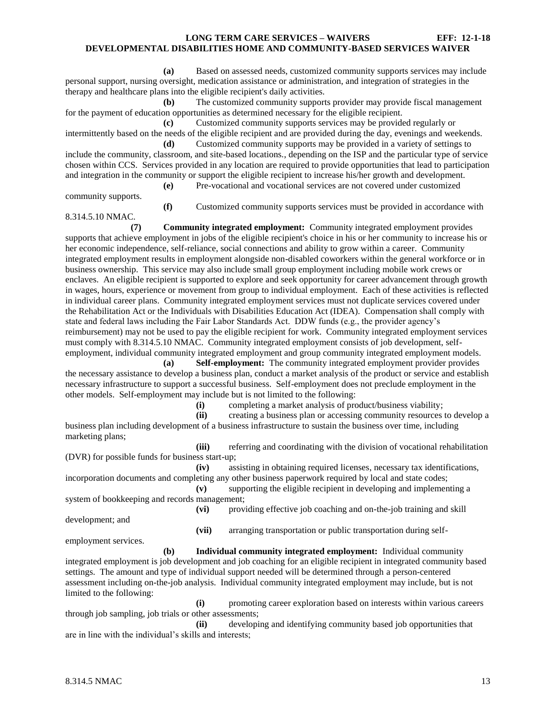**(a)** Based on assessed needs, customized community supports services may include personal support, nursing oversight, medication assistance or administration, and integration of strategies in the therapy and healthcare plans into the eligible recipient's daily activities.

**(b)** The customized community supports provider may provide fiscal management for the payment of education opportunities as determined necessary for the eligible recipient.

**(c)** Customized community supports services may be provided regularly or intermittently based on the needs of the eligible recipient and are provided during the day, evenings and weekends.

**(d)** Customized community supports may be provided in a variety of settings to include the community, classroom, and site-based locations., depending on the ISP and the particular type of service chosen within CCS. Services provided in any location are required to provide opportunities that lead to participation and integration in the community or support the eligible recipient to increase his/her growth and development. **(e)** Pre-vocational and vocational services are not covered under customized

community supports.

**(f)** Customized community supports services must be provided in accordance with

8.314.5.10 NMAC.

**(7) Community integrated employment:** Community integrated employment provides supports that achieve employment in jobs of the eligible recipient's choice in his or her community to increase his or her economic independence, self-reliance, social connections and ability to grow within a career. Community integrated employment results in employment alongside non-disabled coworkers within the general workforce or in business ownership. This service may also include small group employment including mobile work crews or enclaves. An eligible recipient is supported to explore and seek opportunity for career advancement through growth in wages, hours, experience or movement from group to individual employment. Each of these activities is reflected in individual career plans. Community integrated employment services must not duplicate services covered under the Rehabilitation Act or the Individuals with Disabilities Education Act (IDEA). Compensation shall comply with state and federal laws including the Fair Labor Standards Act. DDW funds (e.g., the provider agency's reimbursement) may not be used to pay the eligible recipient for work. Community integrated employment services must comply with 8.314.5.10 NMAC. Community integrated employment consists of job development, self-

employment, individual community integrated employment and group community integrated employment models. **(a) Self-employment:** The community integrated employment provider provides the necessary assistance to develop a business plan, conduct a market analysis of the product or service and establish necessary infrastructure to support a successful business. Self-employment does not preclude employment in the other models. Self-employment may include but is not limited to the following:

**(i)** completing a market analysis of product/business viability;

**(ii)** creating a business plan or accessing community resources to develop a business plan including development of a business infrastructure to sustain the business over time, including marketing plans:

**(iii)** referring and coordinating with the division of vocational rehabilitation (DVR) for possible funds for business start-up;

**(iv)** assisting in obtaining required licenses, necessary tax identifications, incorporation documents and completing any other business paperwork required by local and state codes;

**(v)** supporting the eligible recipient in developing and implementing a system of bookkeeping and records management;

**(vi)** providing effective job coaching and on-the-job training and skill

**(vii)** arranging transportation or public transportation during self-

employment services.

development; and

**(b) Individual community integrated employment:** Individual community integrated employment is job development and job coaching for an eligible recipient in integrated community based settings. The amount and type of individual support needed will be determined through a person-centered assessment including on-the-job analysis. Individual community integrated employment may include, but is not limited to the following:

**(i)** promoting career exploration based on interests within various careers through job sampling, job trials or other assessments;

**(ii)** developing and identifying community based job opportunities that are in line with the individual's skills and interests;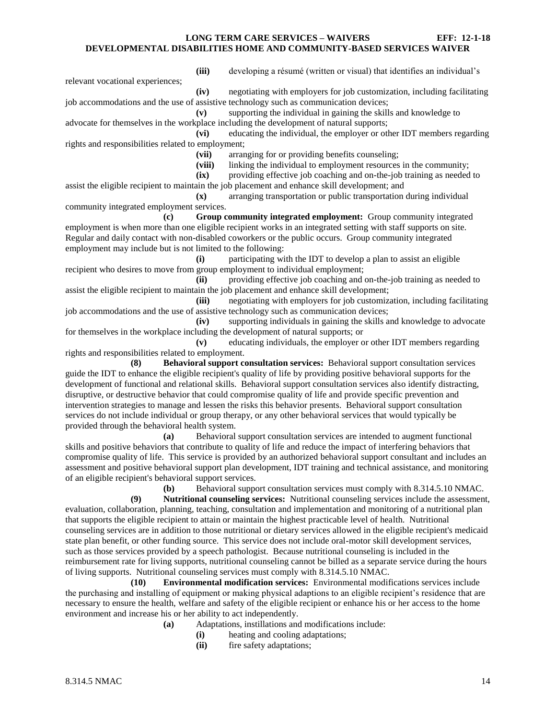relevant vocational experiences;

**(iii)** developing a résumé (written or visual) that identifies an individual's

**(iv)** negotiating with employers for job customization, including facilitating job accommodations and the use of assistive technology such as communication devices;

**(v)** supporting the individual in gaining the skills and knowledge to advocate for themselves in the workplace including the development of natural supports;

**(vi)** educating the individual, the employer or other IDT members regarding rights and responsibilities related to employment;

**(vii)** arranging for or providing benefits counseling;

**(viii)** linking the individual to employment resources in the community;

**(ix)** providing effective job coaching and on-the-job training as needed to assist the eligible recipient to maintain the job placement and enhance skill development; and

**(x)** arranging transportation or public transportation during individual community integrated employment services.

**(c) Group community integrated employment:** Group community integrated employment is when more than one eligible recipient works in an integrated setting with staff supports on site. Regular and daily contact with non-disabled coworkers or the public occurs. Group community integrated employment may include but is not limited to the following:

**(i)** participating with the IDT to develop a plan to assist an eligible recipient who desires to move from group employment to individual employment;

**(ii)** providing effective job coaching and on-the-job training as needed to assist the eligible recipient to maintain the job placement and enhance skill development;

**(iii)** negotiating with employers for job customization, including facilitating job accommodations and the use of assistive technology such as communication devices;

**(iv)** supporting individuals in gaining the skills and knowledge to advocate for themselves in the workplace including the development of natural supports; or

**(v)** educating individuals, the employer or other IDT members regarding rights and responsibilities related to employment.

**(8) Behavioral support consultation services:** Behavioral support consultation services guide the IDT to enhance the eligible recipient's quality of life by providing positive behavioral supports for the development of functional and relational skills. Behavioral support consultation services also identify distracting, disruptive, or destructive behavior that could compromise quality of life and provide specific prevention and intervention strategies to manage and lessen the risks this behavior presents. Behavioral support consultation services do not include individual or group therapy, or any other behavioral services that would typically be provided through the behavioral health system.

**(a)** Behavioral support consultation services are intended to augment functional skills and positive behaviors that contribute to quality of life and reduce the impact of interfering behaviors that compromise quality of life. This service is provided by an authorized behavioral support consultant and includes an assessment and positive behavioral support plan development, IDT training and technical assistance, and monitoring of an eligible recipient's behavioral support services.

**(b)** Behavioral support consultation services must comply with 8.314.5.10 NMAC.

**(9) Nutritional counseling services:** Nutritional counseling services include the assessment, evaluation, collaboration, planning, teaching, consultation and implementation and monitoring of a nutritional plan that supports the eligible recipient to attain or maintain the highest practicable level of health. Nutritional counseling services are in addition to those nutritional or dietary services allowed in the eligible recipient's medicaid state plan benefit, or other funding source. This service does not include oral-motor skill development services, such as those services provided by a speech pathologist. Because nutritional counseling is included in the reimbursement rate for living supports, nutritional counseling cannot be billed as a separate service during the hours of living supports. Nutritional counseling services must comply with 8.314.5.10 NMAC.

**(10) Environmental modification services:** Environmental modifications services include the purchasing and installing of equipment or making physical adaptions to an eligible recipient's residence that are necessary to ensure the health, welfare and safety of the eligible recipient or enhance his or her access to the home environment and increase his or her ability to act independently.

- **(a)** Adaptations, instillations and modifications include:
	- **(i)** heating and cooling adaptations;
	- **(ii)** fire safety adaptations;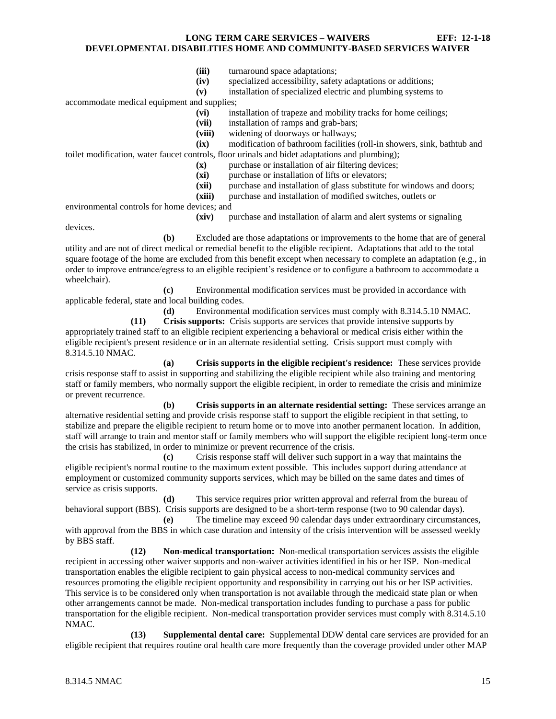- **(iii)** turnaround space adaptations;
- **(iv)** specialized accessibility, safety adaptations or additions;
- **(v)** installation of specialized electric and plumbing systems to

accommodate medical equipment and supplies;

- **(vi)** installation of trapeze and mobility tracks for home ceilings;
- **(vii)** installation of ramps and grab-bars;
- **(viii)** widening of doorways or hallways;
- **(ix)** modification of bathroom facilities (roll-in showers, sink, bathtub and toilet modification, water faucet controls, floor urinals and bidet adaptations and plumbing);
	- **(x)** purchase or installation of air filtering devices;
	- **(xi)** purchase or installation of lifts or elevators;
	- **(xii)** purchase and installation of glass substitute for windows and doors;

**(xiii)** purchase and installation of modified switches, outlets or

environmental controls for home devices; and

**(xiv)** purchase and installation of alarm and alert systems or signaling

devices.

**(b)** Excluded are those adaptations or improvements to the home that are of general utility and are not of direct medical or remedial benefit to the eligible recipient. Adaptations that add to the total square footage of the home are excluded from this benefit except when necessary to complete an adaptation (e.g., in order to improve entrance/egress to an eligible recipient's residence or to configure a bathroom to accommodate a wheelchair).

**(c)** Environmental modification services must be provided in accordance with applicable federal, state and local building codes.

**(d)** Environmental modification services must comply with 8.314.5.10 NMAC.

**(11) Crisis supports:** Crisis supports are services that provide intensive supports by appropriately trained staff to an eligible recipient experiencing a behavioral or medical crisis either within the eligible recipient's present residence or in an alternate residential setting. Crisis support must comply with 8.314.5.10 NMAC.

**(a) Crisis supports in the eligible recipient's residence:** These services provide crisis response staff to assist in supporting and stabilizing the eligible recipient while also training and mentoring staff or family members, who normally support the eligible recipient, in order to remediate the crisis and minimize or prevent recurrence.

**(b) Crisis supports in an alternate residential setting:** These services arrange an alternative residential setting and provide crisis response staff to support the eligible recipient in that setting, to stabilize and prepare the eligible recipient to return home or to move into another permanent location. In addition, staff will arrange to train and mentor staff or family members who will support the eligible recipient long-term once the crisis has stabilized, in order to minimize or prevent recurrence of the crisis.

**(c)** Crisis response staff will deliver such support in a way that maintains the eligible recipient's normal routine to the maximum extent possible. This includes support during attendance at employment or customized community supports services, which may be billed on the same dates and times of service as crisis supports.

**(d)** This service requires prior written approval and referral from the bureau of behavioral support (BBS). Crisis supports are designed to be a short-term response (two to 90 calendar days).

**(e)** The timeline may exceed 90 calendar days under extraordinary circumstances, with approval from the BBS in which case duration and intensity of the crisis intervention will be assessed weekly by BBS staff.

**(12) Non-medical transportation:** Non-medical transportation services assists the eligible recipient in accessing other waiver supports and non-waiver activities identified in his or her ISP. Non-medical transportation enables the eligible recipient to gain physical access to non-medical community services and resources promoting the eligible recipient opportunity and responsibility in carrying out his or her ISP activities. This service is to be considered only when transportation is not available through the medicaid state plan or when other arrangements cannot be made. Non-medical transportation includes funding to purchase a pass for public transportation for the eligible recipient. Non-medical transportation provider services must comply with 8.314.5.10 NMAC.

**(13) Supplemental dental care:** Supplemental DDW dental care services are provided for an eligible recipient that requires routine oral health care more frequently than the coverage provided under other MAP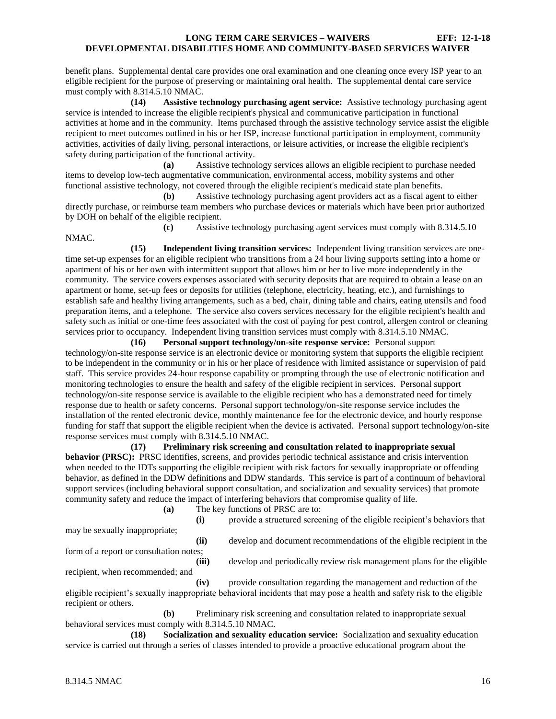benefit plans. Supplemental dental care provides one oral examination and one cleaning once every ISP year to an eligible recipient for the purpose of preserving or maintaining oral health. The supplemental dental care service must comply with 8.314.5.10 NMAC.

**(14) Assistive technology purchasing agent service:** Assistive technology purchasing agent service is intended to increase the eligible recipient's physical and communicative participation in functional activities at home and in the community. Items purchased through the assistive technology service assist the eligible recipient to meet outcomes outlined in his or her ISP, increase functional participation in employment, community activities, activities of daily living, personal interactions, or leisure activities, or increase the eligible recipient's safety during participation of the functional activity.

**(a)** Assistive technology services allows an eligible recipient to purchase needed items to develop low-tech augmentative communication, environmental access, mobility systems and other functional assistive technology, not covered through the eligible recipient's medicaid state plan benefits.

**(b)** Assistive technology purchasing agent providers act as a fiscal agent to either directly purchase, or reimburse team members who purchase devices or materials which have been prior authorized by DOH on behalf of the eligible recipient.

**(c)** Assistive technology purchasing agent services must comply with 8.314.5.10 NMAC.

**(15) Independent living transition services:** Independent living transition services are onetime set-up expenses for an eligible recipient who transitions from a 24 hour living supports setting into a home or apartment of his or her own with intermittent support that allows him or her to live more independently in the community. The service covers expenses associated with security deposits that are required to obtain a lease on an apartment or home, set-up fees or deposits for utilities (telephone, electricity, heating, etc.), and furnishings to establish safe and healthy living arrangements, such as a bed, chair, dining table and chairs, eating utensils and food preparation items, and a telephone. The service also covers services necessary for the eligible recipient's health and safety such as initial or one-time fees associated with the cost of paying for pest control, allergen control or cleaning services prior to occupancy. Independent living transition services must comply with 8.314.5.10 NMAC.

**(16) Personal support technology/on-site response service:** Personal support technology/on-site response service is an electronic device or monitoring system that supports the eligible recipient to be independent in the community or in his or her place of residence with limited assistance or supervision of paid staff. This service provides 24-hour response capability or prompting through the use of electronic notification and monitoring technologies to ensure the health and safety of the eligible recipient in services. Personal support technology/on-site response service is available to the eligible recipient who has a demonstrated need for timely response due to health or safety concerns. Personal support technology/on-site response service includes the installation of the rented electronic device, monthly maintenance fee for the electronic device, and hourly response funding for staff that support the eligible recipient when the device is activated. Personal support technology/on-site response services must comply with 8.314.5.10 NMAC.

**(17) Preliminary risk screening and consultation related to inappropriate sexual behavior (PRSC):** PRSC identifies, screens, and provides periodic technical assistance and crisis intervention when needed to the IDTs supporting the eligible recipient with risk factors for sexually inappropriate or offending behavior, as defined in the DDW definitions and DDW standards. This service is part of a continuum of behavioral support services (including behavioral support consultation, and socialization and sexuality services) that promote community safety and reduce the impact of interfering behaviors that compromise quality of life.

**(a)** The key functions of PRSC are to:

may be sexually inappropriate;

**(i)** provide a structured screening of the eligible recipient's behaviors that

form of a report or consultation notes;

**(ii)** develop and document recommendations of the eligible recipient in the

recipient, when recommended; and

**(iii)** develop and periodically review risk management plans for the eligible

**(iv)** provide consultation regarding the management and reduction of the eligible recipient's sexually inappropriate behavioral incidents that may pose a health and safety risk to the eligible recipient or others.

**(b)** Preliminary risk screening and consultation related to inappropriate sexual behavioral services must comply with 8.314.5.10 NMAC.

**(18) Socialization and sexuality education service:** Socialization and sexuality education service is carried out through a series of classes intended to provide a proactive educational program about the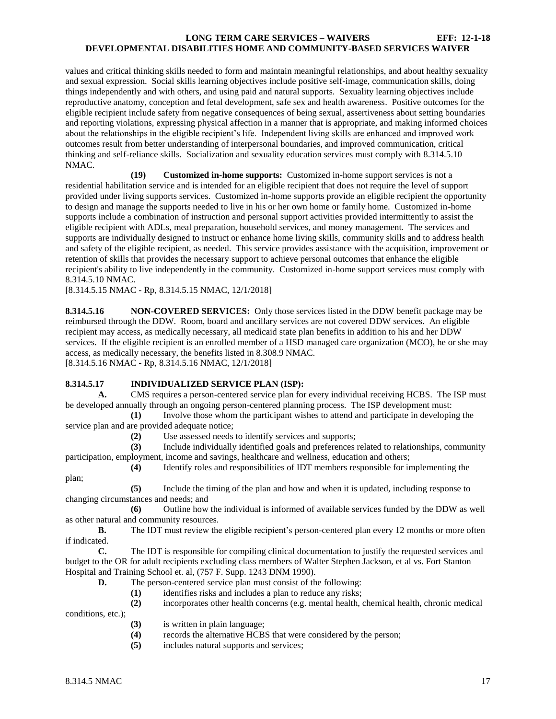values and critical thinking skills needed to form and maintain meaningful relationships, and about healthy sexuality and sexual expression. Social skills learning objectives include positive self-image, communication skills, doing things independently and with others, and using paid and natural supports. Sexuality learning objectives include reproductive anatomy, conception and fetal development, safe sex and health awareness. Positive outcomes for the eligible recipient include safety from negative consequences of being sexual, assertiveness about setting boundaries and reporting violations, expressing physical affection in a manner that is appropriate, and making informed choices about the relationships in the eligible recipient's life. Independent living skills are enhanced and improved work outcomes result from better understanding of interpersonal boundaries, and improved communication, critical thinking and self-reliance skills. Socialization and sexuality education services must comply with 8.314.5.10 NMAC.

**(19) Customized in-home supports:** Customized in-home support services is not a residential habilitation service and is intended for an eligible recipient that does not require the level of support provided under living supports services. Customized in-home supports provide an eligible recipient the opportunity to design and manage the supports needed to live in his or her own home or family home. Customized in-home supports include a combination of instruction and personal support activities provided intermittently to assist the eligible recipient with ADLs, meal preparation, household services, and money management. The services and supports are individually designed to instruct or enhance home living skills, community skills and to address health and safety of the eligible recipient, as needed. This service provides assistance with the acquisition, improvement or retention of skills that provides the necessary support to achieve personal outcomes that enhance the eligible recipient's ability to live independently in the community. Customized in-home support services must comply with 8.314.5.10 NMAC.

[8.314.5.15 NMAC - Rp, 8.314.5.15 NMAC, 12/1/2018]

<span id="page-17-0"></span>**8.314.5.16 NON-COVERED SERVICES:** Only those services listed in the DDW benefit package may be reimbursed through the DDW. Room, board and ancillary services are not covered DDW services. An eligible recipient may access, as medically necessary, all medicaid state plan benefits in addition to his and her DDW services. If the eligible recipient is an enrolled member of a HSD managed care organization (MCO), he or she may access, as medically necessary, the benefits listed in 8.308.9 NMAC. [8.314.5.16 NMAC - Rp, 8.314.5.16 NMAC, 12/1/2018]

## <span id="page-17-1"></span>**8.314.5.17 INDIVIDUALIZED SERVICE PLAN (ISP):**

**A.** CMS requires a person-centered service plan for every individual receiving HCBS. The ISP must be developed annually through an ongoing person-centered planning process. The ISP development must:

**(1)** Involve those whom the participant wishes to attend and participate in developing the service plan and are provided adequate notice;

**(2)** Use assessed needs to identify services and supports;

**(3)** Include individually identified goals and preferences related to relationships, community participation, employment, income and savings, healthcare and wellness, education and others;

**(4)** Identify roles and responsibilities of IDT members responsible for implementing the

plan;

**(5)** Include the timing of the plan and how and when it is updated, including response to changing circumstances and needs; and

**(6)** Outline how the individual is informed of available services funded by the DDW as well as other natural and community resources.

**B.** The IDT must review the eligible recipient's person-centered plan every 12 months or more often if indicated.

**C.** The IDT is responsible for compiling clinical documentation to justify the requested services and budget to the OR for adult recipients excluding class members of Walter Stephen Jackson, et al vs. Fort Stanton Hospital and Training School et. al, (757 F. Supp. 1243 DNM 1990).

- **D.** The person-centered service plan must consist of the following:
	- **(1)** identifies risks and includes a plan to reduce any risks;
- **(2)** incorporates other health concerns (e.g. mental health, chemical health, chronic medical conditions, etc.);
	- **(3)** is written in plain language;
	- **(4)** records the alternative HCBS that were considered by the person;
	- **(5)** includes natural supports and services;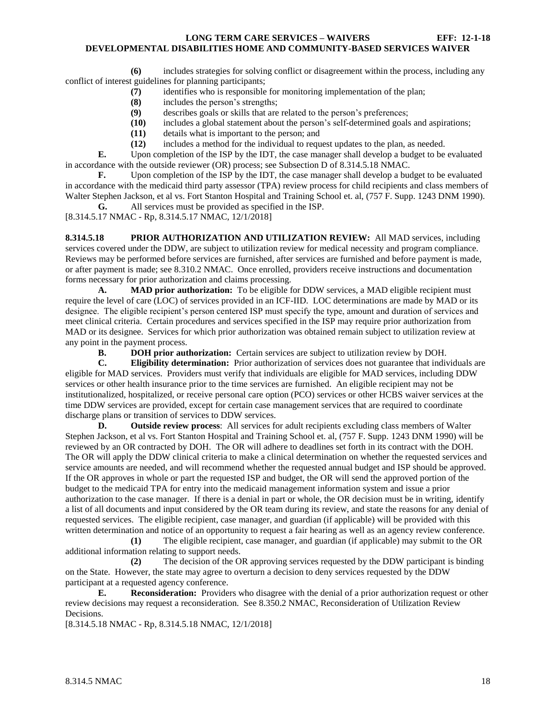**(6)** includes strategies for solving conflict or disagreement within the process, including any conflict of interest guidelines for planning participants;

- **(7)** identifies who is responsible for monitoring implementation of the plan;
- **(8)** includes the person's strengths;
- **(9)** describes goals or skills that are related to the person's preferences;
- **(10)** includes a global statement about the person's self-determined goals and aspirations;
- **(11)** details what is important to the person; and
- **(12)** includes a method for the individual to request updates to the plan, as needed.

**E.** Upon completion of the ISP by the IDT, the case manager shall develop a budget to be evaluated in accordance with the outside reviewer (OR) process; see Subsection D of 8.314.5.18 NMAC.

**F.** Upon completion of the ISP by the IDT, the case manager shall develop a budget to be evaluated in accordance with the medicaid third party assessor (TPA) review process for child recipients and class members of Walter Stephen Jackson, et al vs. Fort Stanton Hospital and Training School et. al, (757 F. Supp. 1243 DNM 1990).

**G.** All services must be provided as specified in the ISP.

[8.314.5.17 NMAC - Rp, 8.314.5.17 NMAC, 12/1/2018]

<span id="page-18-0"></span>**8.314.5.18 PRIOR AUTHORIZATION AND UTILIZATION REVIEW:** All MAD services, including services covered under the DDW, are subject to utilization review for medical necessity and program compliance. Reviews may be performed before services are furnished, after services are furnished and before payment is made, or after payment is made; see 8.310.2 NMAC. Once enrolled, providers receive instructions and documentation forms necessary for prior authorization and claims processing.

**A. MAD prior authorization:** To be eligible for DDW services, a MAD eligible recipient must require the level of care (LOC) of services provided in an ICF-IID. LOC determinations are made by MAD or its designee. The eligible recipient's person centered ISP must specify the type, amount and duration of services and meet clinical criteria. Certain procedures and services specified in the ISP may require prior authorization from MAD or its designee. Services for which prior authorization was obtained remain subject to utilization review at any point in the payment process.

**B. DOH prior authorization:** Certain services are subject to utilization review by DOH.

**C. Eligibility determination:** Prior authorization of services does not guarantee that individuals are eligible for MAD services. Providers must verify that individuals are eligible for MAD services, including DDW services or other health insurance prior to the time services are furnished. An eligible recipient may not be institutionalized, hospitalized, or receive personal care option (PCO) services or other HCBS waiver services at the time DDW services are provided, except for certain case management services that are required to coordinate discharge plans or transition of services to DDW services.

**D. Outside review process**: All services for adult recipients excluding class members of Walter Stephen Jackson, et al vs. Fort Stanton Hospital and Training School et. al, (757 F. Supp. 1243 DNM 1990) will be reviewed by an OR contracted by DOH. The OR will adhere to deadlines set forth in its contract with the DOH. The OR will apply the DDW clinical criteria to make a clinical determination on whether the requested services and service amounts are needed, and will recommend whether the requested annual budget and ISP should be approved. If the OR approves in whole or part the requested ISP and budget, the OR will send the approved portion of the budget to the medicaid TPA for entry into the medicaid management information system and issue a prior authorization to the case manager. If there is a denial in part or whole, the OR decision must be in writing, identify a list of all documents and input considered by the OR team during its review, and state the reasons for any denial of requested services. The eligible recipient, case manager, and guardian (if applicable) will be provided with this written determination and notice of an opportunity to request a fair hearing as well as an agency review conference.

**(1)** The eligible recipient, case manager, and guardian (if applicable) may submit to the OR additional information relating to support needs.

**(2)** The decision of the OR approving services requested by the DDW participant is binding on the State. However, the state may agree to overturn a decision to deny services requested by the DDW participant at a requested agency conference.

**E. Reconsideration:** Providers who disagree with the denial of a prior authorization request or other review decisions may request a reconsideration. See 8.350.2 NMAC, Reconsideration of Utilization Review Decisions.

[8.314.5.18 NMAC - Rp, 8.314.5.18 NMAC, 12/1/2018]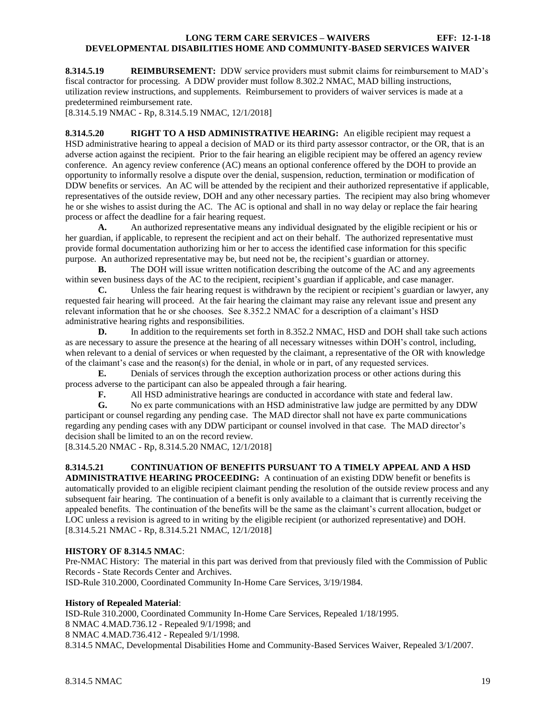<span id="page-19-0"></span>**8.314.5.19 REIMBURSEMENT:** DDW service providers must submit claims for reimbursement to MAD's fiscal contractor for processing. A DDW provider must follow 8.302.2 NMAC, MAD billing instructions, utilization review instructions, and supplements. Reimbursement to providers of waiver services is made at a predetermined reimbursement rate.

[8.314.5.19 NMAC - Rp, 8.314.5.19 NMAC, 12/1/2018]

<span id="page-19-1"></span>**8.314.5.20 RIGHT TO A HSD ADMINISTRATIVE HEARING:** An eligible recipient may request a HSD administrative hearing to appeal a decision of MAD or its third party assessor contractor, or the OR, that is an adverse action against the recipient. Prior to the fair hearing an eligible recipient may be offered an agency review conference. An agency review conference (AC) means an optional conference offered by the DOH to provide an opportunity to informally resolve a dispute over the denial, suspension, reduction, termination or modification of DDW benefits or services. An AC will be attended by the recipient and their authorized representative if applicable, representatives of the outside review, DOH and any other necessary parties. The recipient may also bring whomever he or she wishes to assist during the AC. The AC is optional and shall in no way delay or replace the fair hearing process or affect the deadline for a fair hearing request.

**A.** An authorized representative means any individual designated by the eligible recipient or his or her guardian, if applicable, to represent the recipient and act on their behalf. The authorized representative must provide formal documentation authorizing him or her to access the identified case information for this specific purpose. An authorized representative may be, but need not be, the recipient's guardian or attorney.

**B.** The DOH will issue written notification describing the outcome of the AC and any agreements within seven business days of the AC to the recipient, recipient's guardian if applicable, and case manager.

**C.** Unless the fair hearing request is withdrawn by the recipient or recipient's guardian or lawyer, any requested fair hearing will proceed. At the fair hearing the claimant may raise any relevant issue and present any relevant information that he or she chooses. See 8.352.2 NMAC for a description of a claimant's HSD administrative hearing rights and responsibilities.

**D.** In addition to the requirements set forth in 8.352.2 NMAC, HSD and DOH shall take such actions as are necessary to assure the presence at the hearing of all necessary witnesses within DOH's control, including, when relevant to a denial of services or when requested by the claimant, a representative of the OR with knowledge of the claimant's case and the reason(s) for the denial, in whole or in part, of any requested services.

**E.** Denials of services through the exception authorization process or other actions during this process adverse to the participant can also be appealed through a fair hearing.<br> **F.** All HSD administrative hearings are conducted in accordance

**F.** All HSD administrative hearings are conducted in accordance with state and federal law.

**G.** No ex parte communications with an HSD administrative law judge are permitted by any DDW participant or counsel regarding any pending case. The MAD director shall not have ex parte communications regarding any pending cases with any DDW participant or counsel involved in that case. The MAD director's decision shall be limited to an on the record review.

[8.314.5.20 NMAC - Rp, 8.314.5.20 NMAC, 12/1/2018]

# <span id="page-19-2"></span>**8.314.5.21 CONTINUATION OF BENEFITS PURSUANT TO A TIMELY APPEAL AND A HSD**

**ADMINISTRATIVE HEARING PROCEEDING:** A continuation of an existing DDW benefit or benefits is automatically provided to an eligible recipient claimant pending the resolution of the outside review process and any subsequent fair hearing. The continuation of a benefit is only available to a claimant that is currently receiving the appealed benefits. The continuation of the benefits will be the same as the claimant's current allocation, budget or LOC unless a revision is agreed to in writing by the eligible recipient (or authorized representative) and DOH. [8.314.5.21 NMAC - Rp, 8.314.5.21 NMAC, 12/1/2018]

## **HISTORY OF 8.314.5 NMAC**:

Pre-NMAC History: The material in this part was derived from that previously filed with the Commission of Public Records - State Records Center and Archives.

ISD-Rule 310.2000, Coordinated Community In-Home Care Services, 3/19/1984.

# **History of Repealed Material**:

ISD-Rule 310.2000, Coordinated Community In-Home Care Services, Repealed 1/18/1995. 8 NMAC 4.MAD.736.12 - Repealed 9/1/1998; and 8 NMAC 4.MAD.736.412 - Repealed 9/1/1998. 8.314.5 NMAC, Developmental Disabilities Home and Community-Based Services Waiver, Repealed 3/1/2007.